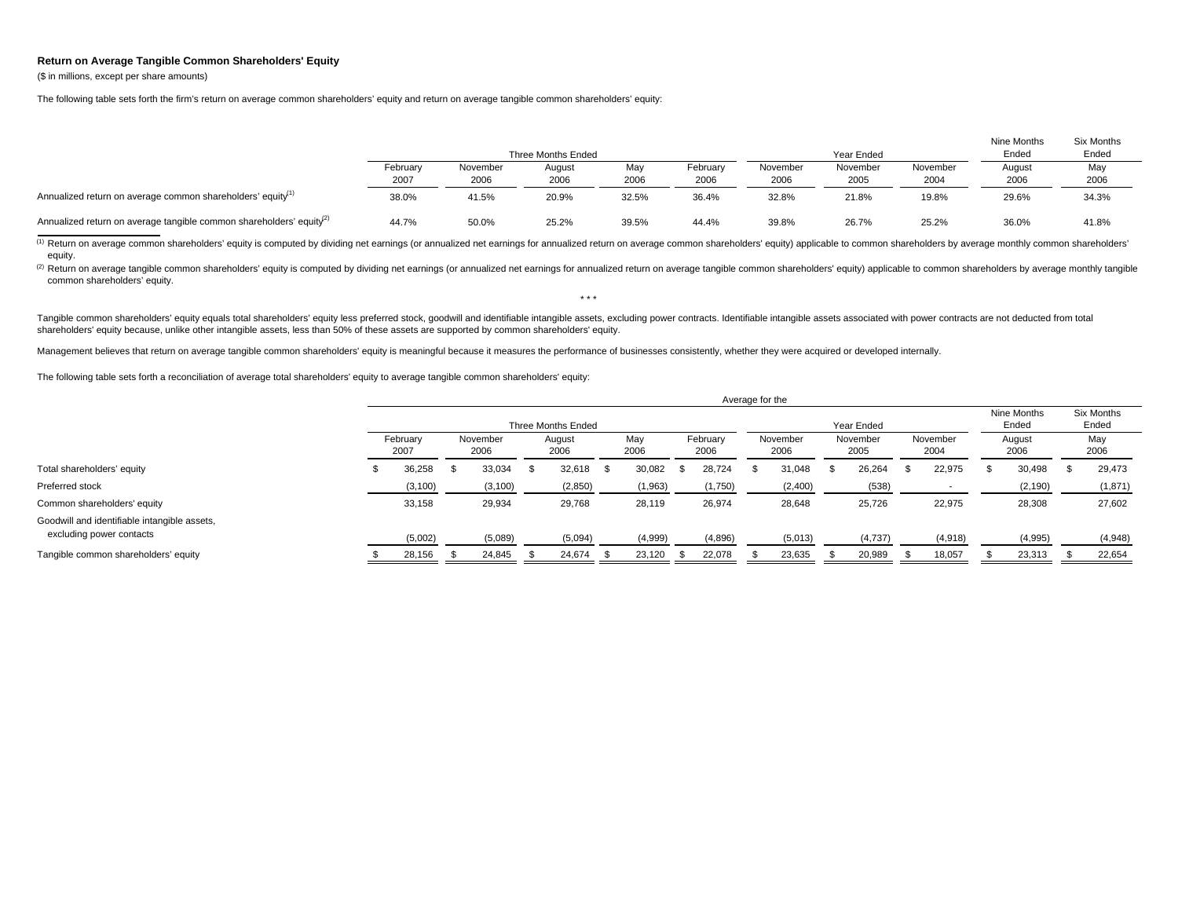## **Return on Average Tangible Common Shareholders' Equity**

(\$ in millions, except per share amounts)

The following table sets forth the firm's return on average common shareholders' equity and return on average tangible common shareholders' equity:

|                                                                                  |                  |                  | Three Months Ended |             |                  |                  | Year Ended       |                  | Nine Months<br>Ended | Six Months<br>Ended |  |
|----------------------------------------------------------------------------------|------------------|------------------|--------------------|-------------|------------------|------------------|------------------|------------------|----------------------|---------------------|--|
|                                                                                  | February<br>2007 | November<br>2006 | August<br>2006     | May<br>2006 | February<br>2006 | November<br>2006 | November<br>2005 | November<br>2004 | August<br>2006       | May<br>2006         |  |
| Annualized return on average common shareholders' equity <sup>11</sup>           | 38.0%            | 41.5%            | 20.9%              | 32.5%       | 36.4%            | 32.8%            | 21.8%            | 19.8%            | 29.6%                | 34.3%               |  |
| Annualized return on average tangible common shareholders' equity <sup>(2)</sup> | 44.7%            | 50.0%            | 25.2%              | 39.5%       | 44.4%            | 39.8%            | 26.7%            | 25.2%            | 36.0%                | 41.8%               |  |

(1) Return on average common shareholders' equity is computed by dividing net earnings (or annualized net earnings for annualized return on average common shareholders' equity) applicable to common shareholders by average equity.

(2) Return on average tangible common shareholders' equity is computed by dividing net earnings (or annualized net earnings for annualized return on average tangible common shareholders' equity) applicable to common shareh common shareholders' equity. \* \* \*

Tangible common shareholders' equity equals total shareholders' equity less preferred stock, goodwill and identifiable intangible assets, excluding power contracts. Identifiable intangible assets associated with power cont shareholders' equity because, unlike other intangible assets, less than 50% of these assets are supported by common shareholders' equity.

Management believes that return on average tangible common shareholders' equity is meaningful because it measures the performance of businesses consistently, whether they were acquired or developed internally.

The following table sets forth a reconciliation of average total shareholders' equity to average tangible common shareholders' equity:

|                                                                          | Average for the    |  |                  |  |                |      |             |  |                  |  |                  |            |                      |    |                     |  |                |             |
|--------------------------------------------------------------------------|--------------------|--|------------------|--|----------------|------|-------------|--|------------------|--|------------------|------------|----------------------|----|---------------------|--|----------------|-------------|
|                                                                          | Three Months Ended |  |                  |  |                |      |             |  |                  |  |                  | Year Ended | Nine Months<br>Ended |    | Six Months<br>Ended |  |                |             |
|                                                                          | February<br>2007   |  | November<br>2006 |  | August<br>2006 |      | May<br>2006 |  | February<br>2006 |  | November<br>2006 |            | November<br>2005     |    | November<br>2004    |  | August<br>2006 | May<br>2006 |
| Total shareholders' equity                                               | 36,258             |  | 33,034           |  | 32,618         | - 56 | 30,082      |  | 28,724           |  | 31,048           |            | 26,264               | ж. | 22,975              |  | 30,498         | 29,473      |
| Preferred stock                                                          | (3, 100)           |  | (3, 100)         |  | (2,850)        |      | (1, 963)    |  | (1,750)          |  | (2,400)          |            | (538)                |    |                     |  | (2, 190)       | (1, 871)    |
| Common shareholders' equity                                              | 33,158             |  | 29,934           |  | 29,768         |      | 28,119      |  | 26,974           |  | 28,648           |            | 25,726               |    | 22,975              |  | 28,308         | 27,602      |
| Goodwill and identifiable intangible assets,<br>excluding power contacts | (5,002)            |  | (5,089)          |  | (5,094)        |      | (4,999)     |  | (4,896)          |  | (5,013)          |            | (4,737)              |    | (4,918)             |  | (4,995)        | (4,948)     |
| Tangible common shareholders' equity                                     | 28,156             |  | 24.845           |  | 24,674         |      | 23,120      |  | 22,078           |  | 23,635           |            | 20,989               |    | 18,057              |  | 23,313         | 22,654      |

Average for the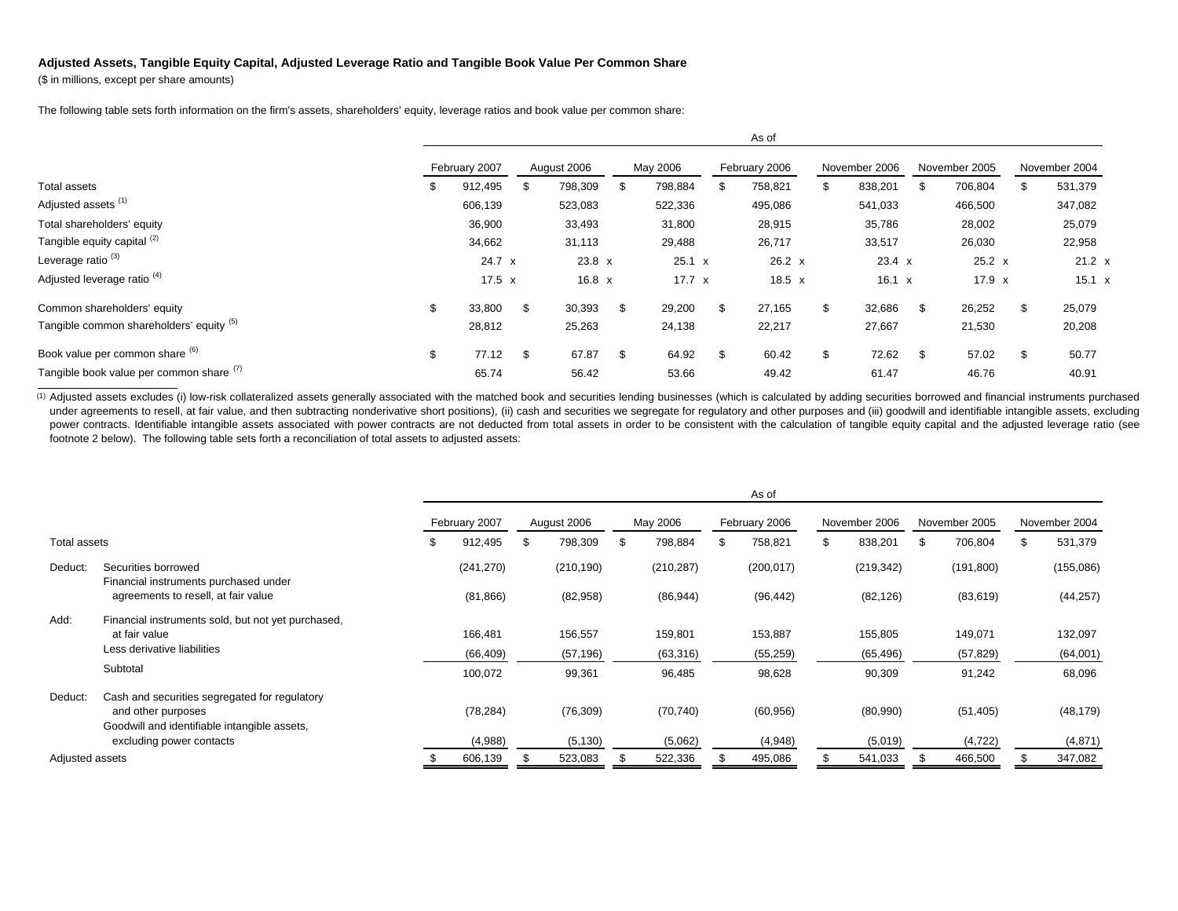## **Adjusted Assets, Tangible Equity Capital, Adjusted Leverage Ratio and Tangible Book Value Per Common Share**

(\$ in millions, except per share amounts)

The following table sets forth information on the firm's assets, shareholders' equity, leverage ratios and book value per common share:

|                                          |    | AS UI         |    |               |     |               |     |               |    |               |     |               |     |               |
|------------------------------------------|----|---------------|----|---------------|-----|---------------|-----|---------------|----|---------------|-----|---------------|-----|---------------|
|                                          |    | February 2007 |    | August 2006   |     | May 2006      |     | February 2006 |    | November 2006 |     | November 2005 |     | November 2004 |
| Total assets                             | ж  | 912,495       | Эħ | 798,309       | \$. | 798,884       |     | 758,821       | S  | 838,201       | \$. | 706,804       |     | 531,379       |
| Adjusted assets <sup>(1)</sup>           |    | 606,139       |    | 523,083       |     | 522,336       |     | 495,086       |    | 541,033       |     | 466,500       |     | 347,082       |
| Total shareholders' equity               |    | 36,900        |    | 33,493        |     | 31,800        |     | 28,915        |    | 35,786        |     | 28,002        |     | 25,079        |
| Tangible equity capital (2)              |    | 34,662        |    | 31,113        |     | 29,488        |     | 26,717        |    | 33,517        |     | 26,030        |     | 22,958        |
| Leverage ratio <sup>(3)</sup>            |    | 24.7 x        |    | $23.8 \times$ |     | $25.1 \times$ |     | $26.2 \times$ |    | 23.4 x        |     | $25.2 \times$ |     | $21.2 \times$ |
| Adjusted leverage ratio <sup>(4)</sup>   |    | 17.5 $x$      |    | $16.8 \times$ |     | $17.7 \times$ |     | $18.5 \times$ |    | $16.1 \times$ |     | $17.9 \times$ |     | 15.1 x        |
| Common shareholders' equity              | \$ | 33.800        | \$ | 30,393        | \$  | 29,200        | \$  | 27,165        | \$ | 32,686        | -\$ | 26,252        | \$. | 25,079        |
| Tangible common shareholders' equity (5) |    | 28,812        |    | 25,263        |     | 24,138        |     | 22,217        |    | 27,667        |     | 21,530        |     | 20,208        |
| Book value per common share (6)          | \$ | 77.12         | \$ | 67.87         | \$  | 64.92         | \$. | 60.42         | \$ | 72.62         | -\$ | 57.02         | \$  | 50.77         |
| Tangible book value per common share (1) |    | 65.74         |    | 56.42         |     | 53.66         |     | 49.42         |    | 61.47         |     | 46.76         |     | 40.91         |

 $A = 1$ 

<sup>(1)</sup> Adjusted assets excludes (i) low-risk collateralized assets generally associated with the matched book and securities lending businesses (which is calculated by adding securities borrowed and financial instruments pu under agreements to resell, at fair value, and then subtracting nonderivative short positions), (ii) cash and securities we segregate for regulatory and other purposes and (iii) goodwill and identifiable intangible assets, power contracts. Identifiable intangible assets associated with power contracts are not deducted from total assets in order to be consistent with the calculation of tangible equity capital and the adjusted leverage ratio ( footnote 2 below). The following table sets forth a reconciliation of total assets to adjusted assets:

|                                     |                                                              |   |               |               |     |            | As of         |               |               |               |
|-------------------------------------|--------------------------------------------------------------|---|---------------|---------------|-----|------------|---------------|---------------|---------------|---------------|
|                                     |                                                              |   | February 2007 | August 2006   |     | May 2006   | February 2006 | November 2006 | November 2005 | November 2004 |
| Total assets                        |                                                              | S | 912,495       | \$<br>798,309 | -SS | 798,884    | 758,821       | \$<br>838,201 | \$<br>706,804 | \$<br>531,379 |
| Deduct:                             | Securities borrowed<br>Financial instruments purchased under |   | (241, 270)    | (210, 190)    |     | (210, 287) | (200, 017)    | (219, 342)    | (191, 800)    | (155,086)     |
| agreements to resell, at fair value |                                                              |   | (81, 866)     | (82, 958)     |     | (86, 944)  | (96, 442)     | (82, 126)     | (83, 619)     | (44, 257)     |
| Add:                                | Financial instruments sold, but not yet purchased,           |   |               |               |     |            |               |               |               |               |
|                                     | at fair value                                                |   | 166,481       | 156,557       |     | 159,801    | 153,887       | 155,805       | 149,071       | 132,097       |
|                                     | Less derivative liabilities                                  |   | (66, 409)     | (57, 196)     |     | (63, 316)  | (55, 259)     | (65, 496)     | (57, 829)     | (64,001)      |
|                                     | Subtotal                                                     |   | 100,072       | 99,361        |     | 96,485     | 98,628        | 90,309        | 91,242        | 68,096        |
| Deduct:                             | Cash and securities segregated for regulatory                |   |               |               |     |            |               |               |               |               |
|                                     | and other purposes                                           |   | (78, 284)     | (76, 309)     |     | (70, 740)  | (60, 956)     | (80,990)      | (51, 405)     | (48, 179)     |
|                                     | Goodwill and identifiable intangible assets.                 |   |               |               |     |            |               |               |               |               |
|                                     | excluding power contacts                                     |   | (4,988)       | (5, 130)      |     | (5,062)    | (4,948)       | (5,019)       | (4, 722)      | (4,871)       |
| Adjusted assets                     |                                                              |   | 606,139       | 523,083       |     | 522,336    | 495,086       | 541,033       | 466,500       | 347,082       |